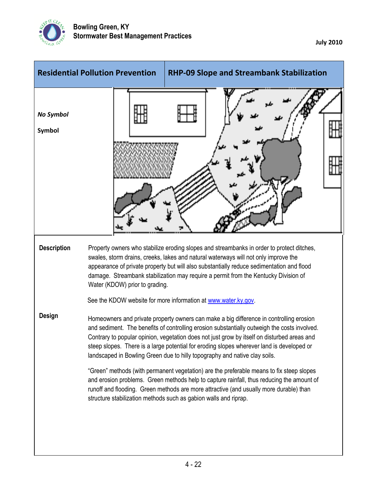

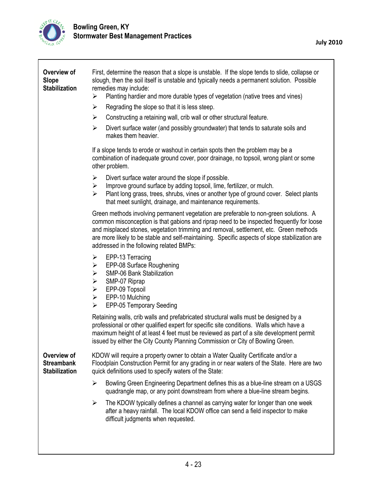

| Overview of<br><b>Slope</b><br><b>Stabilization</b>      | First, determine the reason that a slope is unstable. If the slope tends to slide, collapse or<br>slough, then the soil itself is unstable and typically needs a permanent solution. Possible<br>remedies may include:<br>Planting hardier and more durable types of vegetation (native trees and vines)<br>➤                                                                                                             |
|----------------------------------------------------------|---------------------------------------------------------------------------------------------------------------------------------------------------------------------------------------------------------------------------------------------------------------------------------------------------------------------------------------------------------------------------------------------------------------------------|
|                                                          | $\blacktriangleright$<br>Regrading the slope so that it is less steep.                                                                                                                                                                                                                                                                                                                                                    |
|                                                          | Constructing a retaining wall, crib wall or other structural feature.<br>$\blacktriangleright$                                                                                                                                                                                                                                                                                                                            |
|                                                          | Divert surface water (and possibly groundwater) that tends to saturate soils and<br>$\blacktriangleright$<br>makes them heavier.                                                                                                                                                                                                                                                                                          |
|                                                          | If a slope tends to erode or washout in certain spots then the problem may be a<br>combination of inadequate ground cover, poor drainage, no topsoil, wrong plant or some<br>other problem.                                                                                                                                                                                                                               |
|                                                          | Divert surface water around the slope if possible.<br>➤<br>Improve ground surface by adding topsoil, lime, fertilizer, or mulch.<br>➤<br>$\blacktriangleright$<br>Plant long grass, trees, shrubs, vines or another type of ground cover. Select plants<br>that meet sunlight, drainage, and maintenance requirements.                                                                                                    |
|                                                          | Green methods involving permanent vegetation are preferable to non-green solutions. A<br>common misconception is that gabions and riprap need to be inspected frequently for loose<br>and misplaced stones, vegetation trimming and removal, settlement, etc. Green methods<br>are more likely to be stable and self-maintaining. Specific aspects of slope stabilization are<br>addressed in the following related BMPs: |
|                                                          | EPP-13 Terracing<br>➤<br>EPP-08 Surface Roughening<br>$\blacktriangleright$<br>SMP-06 Bank Stabilization<br>➤<br>SMP-07 Riprap<br>➤<br>EPP-09 Topsoil<br>$\blacktriangleright$<br>EPP-10 Mulching<br>$\blacktriangleright$<br>EPP-05 Temporary Seeding<br>➤                                                                                                                                                               |
|                                                          | Retaining walls, crib walls and prefabricated structural walls must be designed by a<br>professional or other qualified expert for specific site conditions. Walls which have a<br>maximum height of at least 4 feet must be reviewed as part of a site development permit<br>issued by either the City County Planning Commission or City of Bowling Green.                                                              |
| Overview of<br><b>Streambank</b><br><b>Stabilization</b> | KDOW will require a property owner to obtain a Water Quality Certificate and/or a<br>Floodplain Construction Permit for any grading in or near waters of the State. Here are two<br>quick definitions used to specify waters of the State:                                                                                                                                                                                |
|                                                          | Bowling Green Engineering Department defines this as a blue-line stream on a USGS<br>➤<br>quadrangle map, or any point downstream from where a blue-line stream begins.                                                                                                                                                                                                                                                   |
|                                                          | The KDOW typically defines a channel as carrying water for longer than one week<br>$\blacktriangleright$<br>after a heavy rainfall. The local KDOW office can send a field inspector to make<br>difficult judgments when requested.                                                                                                                                                                                       |
|                                                          |                                                                                                                                                                                                                                                                                                                                                                                                                           |